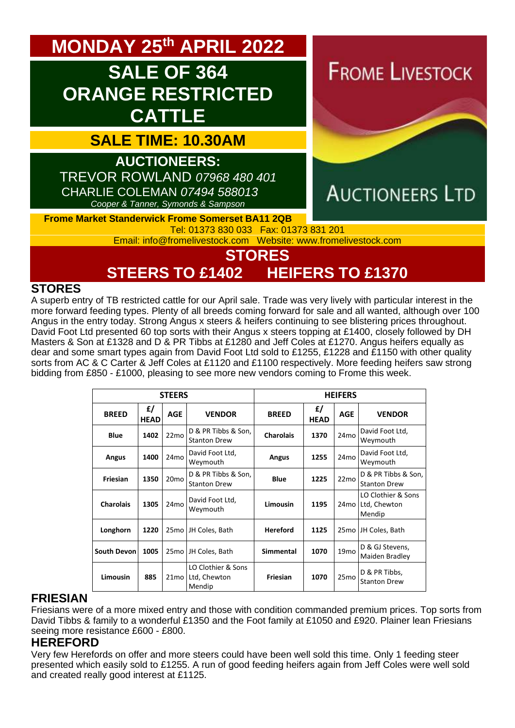# **MONDAY 25 th APRIL 2022**

# **SALE OF 364 ORANGE RESTRICTED CATTLE**

## **SALE TIME: 10.30AM**

**AUCTIONEERS:**  TREVOR ROWLAND *07968 480 401* CHARLIE COLEMAN *07494 588013 Cooper & Tanner, Symonds & Sampson*

**FROME LIVESTOCK** 



#### **Frome Market Standerwick Frome Somerset BA11 2QB** Tel: 01373 830 033 Fax: 01373 831 201

Email: [info@fromelivestock.com](mailto:info@fromelivestock.com) Website: [www.fromelivestock.com](http://www.fromelivestock.com/)

# **STORES**

**STEERS TO £1402 HEIFERS TO £1370**

#### **STORES**

A superb entry of TB restricted cattle for our April sale. Trade was very lively with particular interest in the more forward feeding types. Plenty of all breeds coming forward for sale and all wanted, although over 100 Angus in the entry today. Strong Angus x steers & heifers continuing to see blistering prices throughout. David Foot Ltd presented 60 top sorts with their Angus x steers topping at £1400, closely followed by DH Masters & Son at £1328 and D & PR Tibbs at £1280 and Jeff Coles at £1270. Angus heifers equally as dear and some smart types again from David Foot Ltd sold to £1255, £1228 and £1150 with other quality sorts from AC & C Carter & Jeff Coles at £1120 and £1100 respectively. More feeding heifers saw strong bidding from £850 - £1000, pleasing to see more new vendors coming to Frome this week.

| <b>STEERS</b>    |                  |                  |                                              | <b>HEIFERS</b>   |                   |                  |                                              |  |
|------------------|------------------|------------------|----------------------------------------------|------------------|-------------------|------------------|----------------------------------------------|--|
| <b>BREED</b>     | f<br><b>HEAD</b> | <b>AGE</b>       | <b>VENDOR</b>                                | <b>BREED</b>     | £/<br><b>HEAD</b> | <b>AGE</b>       | <b>VENDOR</b>                                |  |
| <b>Blue</b>      | 1402             | 22mo             | D & PR Tibbs & Son,<br><b>Stanton Drew</b>   | <b>Charolais</b> | 1370              | 24 <sub>mo</sub> | David Foot Ltd,<br>Weymouth                  |  |
| Angus            | 1400             | 24 <sub>mo</sub> | David Foot Ltd,<br>Weymouth                  | Angus            | 1255              | 24 <sub>mo</sub> | David Foot Ltd,<br>Weymouth                  |  |
| Friesian         | 1350             | 20 <sub>mo</sub> | D & PR Tibbs & Son,<br><b>Stanton Drew</b>   | <b>Blue</b>      | 1225              | 22 <sub>mo</sub> | D & PR Tibbs & Son,<br><b>Stanton Drew</b>   |  |
| <b>Charolais</b> | 1305             | 24 <sub>mo</sub> | David Foot Ltd,<br>Weymouth                  | Limousin         | 1195              | 24 <sub>mo</sub> | LO Clothier & Sons<br>Ltd, Chewton<br>Mendip |  |
| Longhorn         | 1220             | 25 <sub>mo</sub> | JH Coles, Bath                               | <b>Hereford</b>  | 1125              | 25 <sub>mo</sub> | JH Coles, Bath                               |  |
| South Devon      | 1005             | 25 <sub>mo</sub> | JH Coles, Bath                               | <b>Simmental</b> | 1070              | 19 <sub>mo</sub> | D & GJ Stevens,<br>Maiden Bradley            |  |
| Limousin         | 885              | 21 <sub>mo</sub> | LO Clothier & Sons<br>Ltd, Chewton<br>Mendip | Friesian         | 1070              | 25 <sub>mo</sub> | D & PR Tibbs,<br><b>Stanton Drew</b>         |  |

#### **FRIESIAN**

Friesians were of a more mixed entry and those with condition commanded premium prices. Top sorts from David Tibbs & family to a wonderful £1350 and the Foot family at £1050 and £920. Plainer lean Friesians seeing more resistance £600 - £800.

#### **HEREFORD**

Very few Herefords on offer and more steers could have been well sold this time. Only 1 feeding steer presented which easily sold to £1255. A run of good feeding heifers again from Jeff Coles were well sold and created really good interest at £1125.